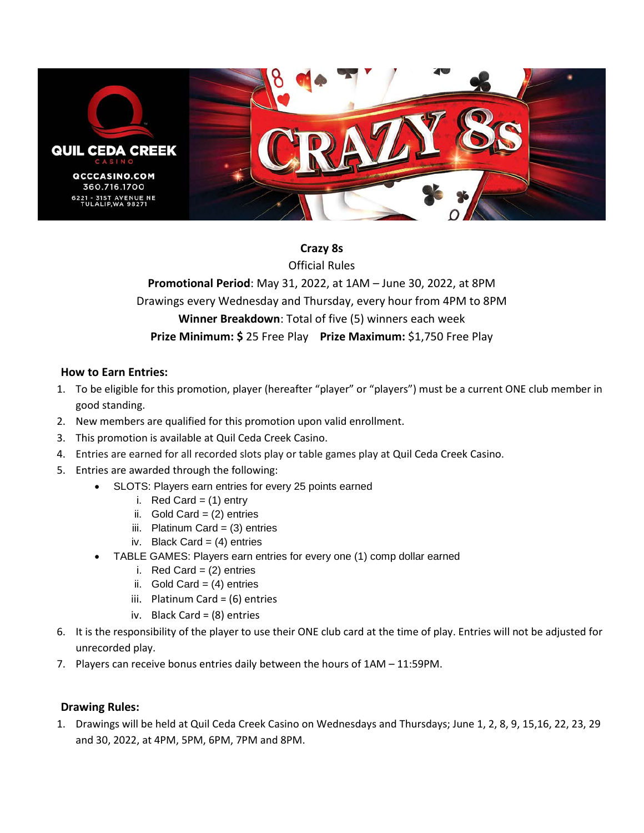

## **Crazy 8s**

Official Rules

**Promotional Period**: May 31, 2022, at 1AM – June 30, 2022, at 8PM Drawings every Wednesday and Thursday, every hour from 4PM to 8PM **Winner Breakdown**: Total of five (5) winners each week **Prize Minimum: \$** 25 Free Play **Prize Maximum:** \$1,750 Free Play

## **How to Earn Entries:**

- 1. To be eligible for this promotion, player (hereafter "player" or "players") must be a current ONE club member in good standing.
- 2. New members are qualified for this promotion upon valid enrollment.
- 3. This promotion is available at Quil Ceda Creek Casino.
- 4. Entries are earned for all recorded slots play or table games play at Quil Ceda Creek Casino.
- 5. Entries are awarded through the following:
	- SLOTS: Players earn entries for every 25 points earned
		- i. Red Card  $=$  (1) entry
		- ii. Gold Card =  $(2)$  entries
		- iii. Platinum Card =  $(3)$  entries
		- iv. Black Card =  $(4)$  entries
	- TABLE GAMES: Players earn entries for every one (1) comp dollar earned
		- i. Red Card =  $(2)$  entries
		- ii. Gold Card =  $(4)$  entries
		- iii. Platinum Card = (6) entries
		- iv. Black Card = (8) entries
- 6. It is the responsibility of the player to use their ONE club card at the time of play. Entries will not be adjusted for unrecorded play.
- 7. Players can receive bonus entries daily between the hours of 1AM 11:59PM.

## **Drawing Rules:**

1. Drawings will be held at Quil Ceda Creek Casino on Wednesdays and Thursdays; June 1, 2, 8, 9, 15,16, 22, 23, 29 and 30, 2022, at 4PM, 5PM, 6PM, 7PM and 8PM.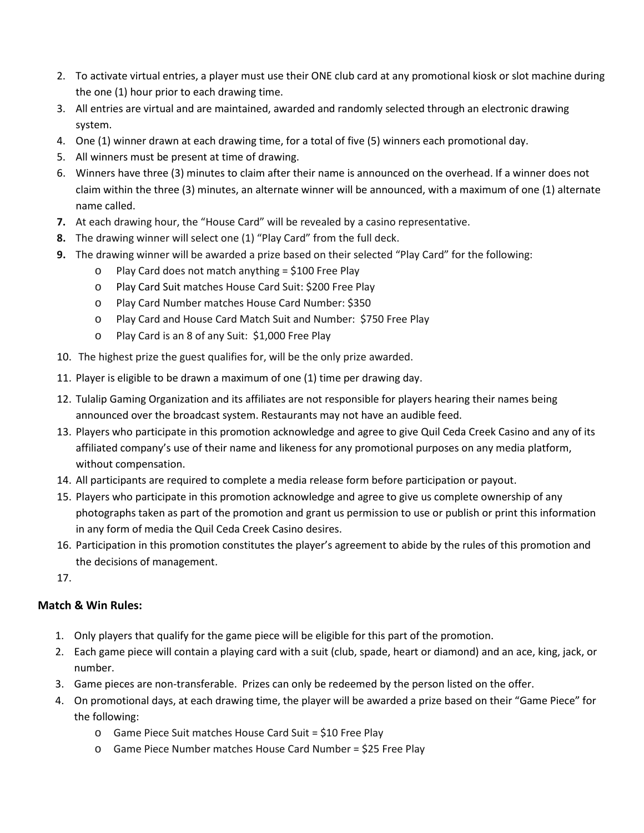- 2. To activate virtual entries, a player must use their ONE club card at any promotional kiosk or slot machine during the one (1) hour prior to each drawing time.
- 3. All entries are virtual and are maintained, awarded and randomly selected through an electronic drawing system.
- 4. One (1) winner drawn at each drawing time, for a total of five (5) winners each promotional day.
- 5. All winners must be present at time of drawing.
- 6. Winners have three (3) minutes to claim after their name is announced on the overhead. If a winner does not claim within the three (3) minutes, an alternate winner will be announced, with a maximum of one (1) alternate name called.
- **7.** At each drawing hour, the "House Card" will be revealed by a casino representative.
- **8.** The drawing winner will select one (1) "Play Card" from the full deck.
- **9.** The drawing winner will be awarded a prize based on their selected "Play Card" for the following:
	- o Play Card does not match anything = \$100 Free Play
	- o Play Card Suit matches House Card Suit: \$200 Free Play
	- o Play Card Number matches House Card Number: \$350
	- o Play Card and House Card Match Suit and Number: \$750 Free Play
	- o Play Card is an 8 of any Suit: \$1,000 Free Play
- 10. The highest prize the guest qualifies for, will be the only prize awarded.
- 11. Player is eligible to be drawn a maximum of one (1) time per drawing day.
- 12. Tulalip Gaming Organization and its affiliates are not responsible for players hearing their names being announced over the broadcast system. Restaurants may not have an audible feed.
- 13. Players who participate in this promotion acknowledge and agree to give Quil Ceda Creek Casino and any of its affiliated company's use of their name and likeness for any promotional purposes on any media platform, without compensation.
- 14. All participants are required to complete a media release form before participation or payout.
- 15. Players who participate in this promotion acknowledge and agree to give us complete ownership of any photographs taken as part of the promotion and grant us permission to use or publish or print this information in any form of media the Quil Ceda Creek Casino desires.
- 16. Participation in this promotion constitutes the player's agreement to abide by the rules of this promotion and the decisions of management.
- 17.

## **Match & Win Rules:**

- 1. Only players that qualify for the game piece will be eligible for this part of the promotion.
- 2. Each game piece will contain a playing card with a suit (club, spade, heart or diamond) and an ace, king, jack, or number.
- 3. Game pieces are non-transferable. Prizes can only be redeemed by the person listed on the offer.
- 4. On promotional days, at each drawing time, the player will be awarded a prize based on their "Game Piece" for the following:
	- o Game Piece Suit matches House Card Suit = \$10 Free Play
	- o Game Piece Number matches House Card Number = \$25 Free Play